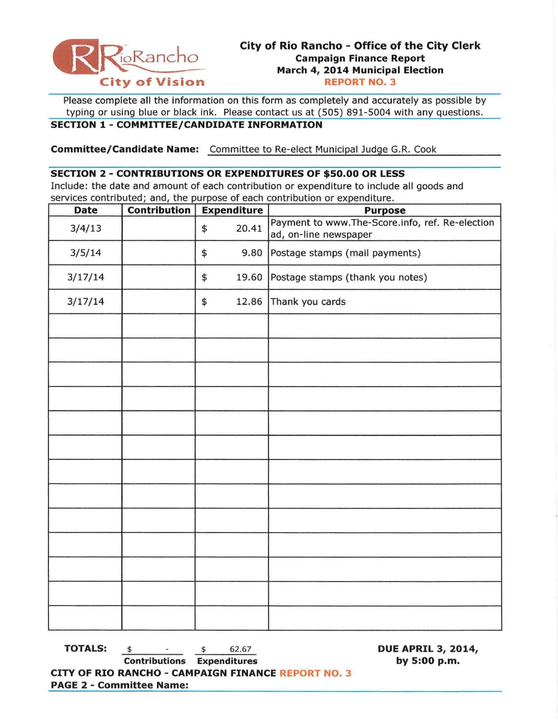

Please complete all the information on this form as completely and accurately as possible by typing or using blue or black ink. Please contact us at (505) 891 -5004 with any questions.

## **SECTION 1 - COMMITTEE/CANDIDATE INFORMATION**

**Committee/Candidate Name:** Committee to Re-elect Municipal Judge G.R. Cook

### **SECTION 2 - CONTRIBUTIONS OR EXPENDITURES OF \$50.00 OR LESS**

Include: the date and amount of each contribution or expenditure to include all goods and services contributed; and, the purpose of each contribution or expenditure.

| <b>Date</b> | <b>Contribution</b> | <b>Expenditure</b> | <b>Purpose</b>                                                           |
|-------------|---------------------|--------------------|--------------------------------------------------------------------------|
| 3/4/13      |                     | 20.41<br>\$        | Payment to www.The-Score.info, ref. Re-election<br>ad, on-line newspaper |
| 3/5/14      |                     | \$<br>9.80         | Postage stamps (mail payments)                                           |
| 3/17/14     |                     | 19.60<br>\$        | Postage stamps (thank you notes)                                         |
| 3/17/14     |                     | \$<br>12.86        | Thank you cards                                                          |
|             |                     |                    |                                                                          |
|             |                     |                    |                                                                          |
|             |                     |                    |                                                                          |
|             |                     |                    |                                                                          |
|             |                     |                    |                                                                          |
|             |                     |                    |                                                                          |
|             |                     |                    |                                                                          |
|             |                     |                    |                                                                          |
|             |                     |                    |                                                                          |
|             |                     |                    |                                                                          |
|             |                     |                    |                                                                          |
|             |                     |                    |                                                                          |
|             |                     |                    |                                                                          |

**TOTALS:**  $\qquad \qquad$   $\qquad \qquad$   $\qquad$   $\qquad$   $\qquad$   $\qquad$   $\qquad$   $\qquad$   $\qquad$   $\qquad$   $\qquad$   $\qquad$   $\qquad$   $\qquad$   $\qquad$   $\qquad$   $\qquad$   $\qquad$   $\qquad$   $\qquad$   $\qquad$   $\qquad$   $\qquad$   $\qquad$   $\qquad$   $\qquad$   $\qquad$   $\qquad$   $\qquad$   $\qquad$   $\qquad$   $\qquad$   $\qquad$   $\qquad$   $\$ 

**Contributions Expenditures by 5:00 p.m. CITY OF RIO RANCHO - CAMPAIGN FINANCE REPORT NO.3 PAGE 2 - Committee Name:**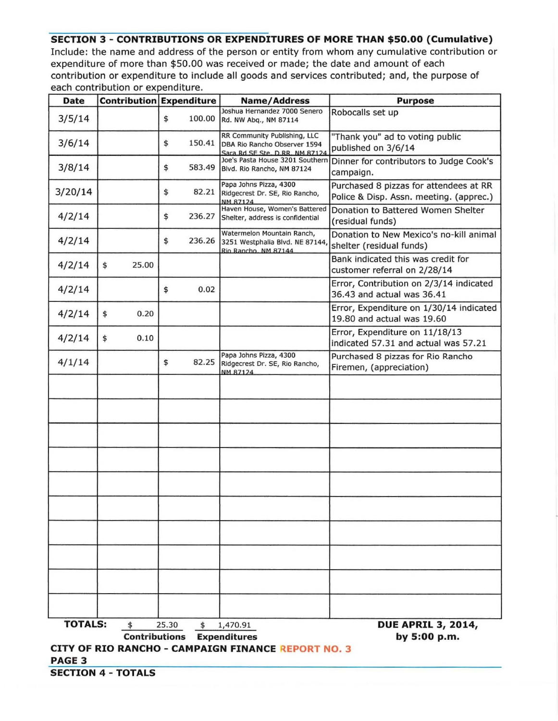# **SECTION 3 - CONTRIBUTIONS OR EXPENDITURES OF MORE THAN \$50.00 (Cumulative)**

Include: the name and address of the person or entity from whom any cumulative contribution or expenditure of more than \$50.00 was received or made; the date and amount of each contribution or expenditure to include all goods and services contributed; and, the purpose of each contribution or expenditure.

| <b>Date</b>                                                             |                           | <b>Contribution Expenditure</b>                  | <b>Name/Address</b>                                                                                                                                     | <b>Purpose</b>                                                                    |  |  |  |  |  |  |
|-------------------------------------------------------------------------|---------------------------|--------------------------------------------------|---------------------------------------------------------------------------------------------------------------------------------------------------------|-----------------------------------------------------------------------------------|--|--|--|--|--|--|
| 3/5/14                                                                  |                           | \$<br>100.00                                     | Joshua Hernandez 7000 Senero<br>Rd. NW Abq., NM 87114                                                                                                   | Robocalls set up                                                                  |  |  |  |  |  |  |
| 3/6/14                                                                  |                           | \$<br>150.41                                     | RR Community Publishing, LLC<br>DBA Rio Rancho Observer 1594                                                                                            | "Thank you" ad to voting public<br>published on 3/6/14                            |  |  |  |  |  |  |
| 3/8/14                                                                  |                           | 583.49<br>\$                                     | Sara Rd SE Ste, D RR, NM 87124<br>Joe's Pasta House 3201 Southern<br>Dinner for contributors to Judge Cook's<br>Blvd. Rio Rancho, NM 87124<br>campaign. |                                                                                   |  |  |  |  |  |  |
| 3/20/14                                                                 |                           | \$<br>82.21                                      | Papa Johns Pizza, 4300<br>Ridgecrest Dr. SE, Rio Rancho,                                                                                                | Purchased 8 pizzas for attendees at RR<br>Police & Disp. Assn. meeting. (apprec.) |  |  |  |  |  |  |
| 4/2/14                                                                  |                           | \$<br>236.27                                     | NM 87124<br>Haven House, Women's Battered<br>Donation to Battered Women Shelter<br>Shelter, address is confidential<br>(residual funds)                 |                                                                                   |  |  |  |  |  |  |
| 4/2/14                                                                  |                           | \$<br>236.26                                     | Watermelon Mountain Ranch,<br>Donation to New Mexico's no-kill animal<br>3251 Westphalia Blvd. NE 87144,<br>shelter (residual funds)                    |                                                                                   |  |  |  |  |  |  |
| 4/2/14                                                                  | \$<br>25.00               |                                                  | Rio Rancho, NM 87144                                                                                                                                    | Bank indicated this was credit for<br>customer referral on 2/28/14                |  |  |  |  |  |  |
| 4/2/14                                                                  |                           | 0.02<br>\$                                       |                                                                                                                                                         | Error, Contribution on 2/3/14 indicated<br>36.43 and actual was 36.41             |  |  |  |  |  |  |
| 4/2/14                                                                  | \$<br>0.20                |                                                  |                                                                                                                                                         | Error, Expenditure on 1/30/14 indicated<br>19.80 and actual was 19.60             |  |  |  |  |  |  |
| 4/2/14                                                                  | \$<br>0.10                |                                                  |                                                                                                                                                         | Error, Expenditure on 11/18/13<br>indicated 57.31 and actual was 57.21            |  |  |  |  |  |  |
| 4/1/14                                                                  |                           | \$<br>82.25                                      | Papa Johns Pizza, 4300<br>Ridgecrest Dr. SE, Rio Rancho,<br>NM 87124                                                                                    | Purchased 8 pizzas for Rio Rancho<br>Firemen, (appreciation)                      |  |  |  |  |  |  |
|                                                                         |                           |                                                  |                                                                                                                                                         |                                                                                   |  |  |  |  |  |  |
|                                                                         |                           |                                                  |                                                                                                                                                         |                                                                                   |  |  |  |  |  |  |
|                                                                         |                           |                                                  |                                                                                                                                                         |                                                                                   |  |  |  |  |  |  |
|                                                                         |                           |                                                  |                                                                                                                                                         |                                                                                   |  |  |  |  |  |  |
|                                                                         |                           |                                                  |                                                                                                                                                         |                                                                                   |  |  |  |  |  |  |
|                                                                         |                           |                                                  |                                                                                                                                                         |                                                                                   |  |  |  |  |  |  |
|                                                                         |                           |                                                  |                                                                                                                                                         |                                                                                   |  |  |  |  |  |  |
|                                                                         |                           |                                                  |                                                                                                                                                         |                                                                                   |  |  |  |  |  |  |
|                                                                         |                           |                                                  |                                                                                                                                                         |                                                                                   |  |  |  |  |  |  |
|                                                                         |                           |                                                  |                                                                                                                                                         |                                                                                   |  |  |  |  |  |  |
| <b>TOTALS:</b>                                                          | \$                        | 25.30<br>\$<br><b>Contributions Expenditures</b> | 1,470.91                                                                                                                                                | <b>DUE APRIL 3, 2014,</b><br>by 5:00 p.m.                                         |  |  |  |  |  |  |
| CITY OF RIO RANCHO - CAMPAIGN FINANCE REPORT NO. 3<br>PAGE <sub>3</sub> |                           |                                                  |                                                                                                                                                         |                                                                                   |  |  |  |  |  |  |
|                                                                         | <b>SECTION 4 - TOTALS</b> |                                                  |                                                                                                                                                         |                                                                                   |  |  |  |  |  |  |